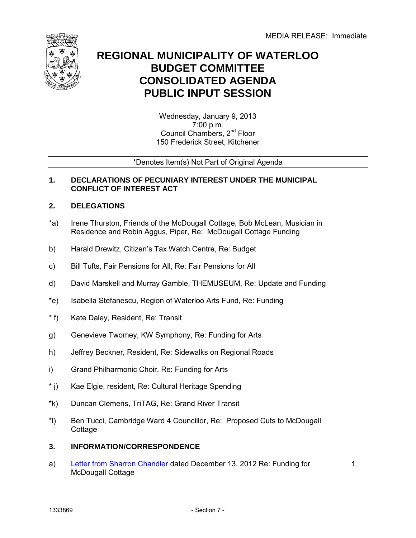

# **REGIONAL MUNICIPALITY OF WATERLOO BUDGET COMMITTEE CONSOLIDATED AGENDA PUBLIC INPUT SESSION**

Wednesday, January 9, 2013 7:00 p.m. Council Chambers, 2nd Floor 150 Frederick Street, Kitchener

## \*Denotes Item(s) Not Part of Original Agenda

## **1. DECLARATIONS OF PECUNIARY INTEREST UNDER THE MUNICIPAL CONFLICT OF INTEREST ACT**

## **2. DELEGATIONS**

- \*a) Irene Thurston, Friends of the McDougall Cottage, Bob McLean, Musician in Residence and Robin Aggus, Piper, Re: McDougall Cottage Funding
- b) Harald Drewitz, Citizen's Tax Watch Centre, Re: Budget
- c) Bill Tufts, Fair Pensions for All, Re: Fair Pensions for All
- d) David Marskell and Murray Gamble, THEMUSEUM, Re: Update and Funding
- \*e) Isabella Stefanescu, Region of Waterloo Arts Fund, Re: Funding
- $*$  f) Kate Daley, Resident, Re: Transit
- g) Genevieve Twomey, KW Symphony, Re: Funding for Arts
- h) Jeffrey Beckner, Resident, Re: Sidewalks on Regional Roads
- i) Grand Philharmonic Choir, Re: Funding for Arts
- $*$  j) Kae Elgie, resident, Re: Cultural Heritage Spending
- \*k) Duncan Clemens, TriTAG, Re: Grand River Transit
- \*l) Ben Tucci, Cambridge Ward 4 Councillor, Re: Proposed Cuts to McDougall **Cottage**
- **3. INFORMATION/CORRESPONDENCE**
- a) [Letter from Sharron Chandler](#page-2-0) dated December 13, 2012 Re: Funding for McDougall Cottage

1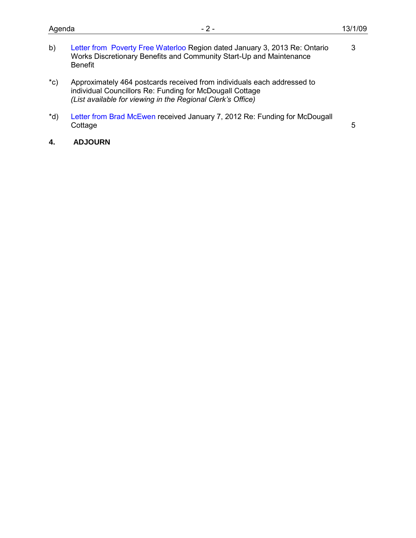3

- b) [Letter from Poverty Free](#page-4-0) Waterloo Region dated January 3, 2013 Re: Ontario Works Discretionary Benefits and Community Start-Up and Maintenance Benefit
- $^{\star}$ c) Approximately 464 postcards received from individuals each addressed to individual Councillors Re: Funding for McDougall Cottage *(List available for viewing in the Regional Clerk's Office)*
- \*d) [Letter from Brad McEwen r](#page-6-0)eceived January 7, 2012 Re: Funding for McDougall **Cottage**
- **4. ADJOURN**

5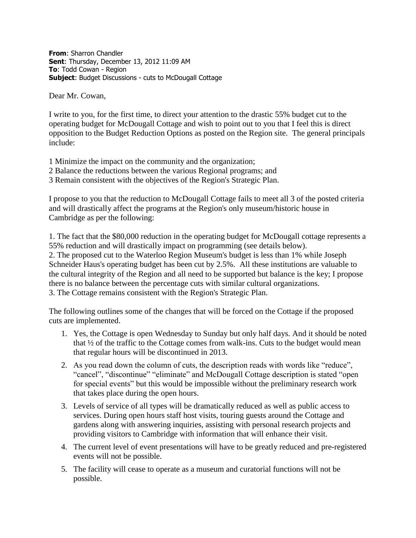<span id="page-2-0"></span>**From**: Sharron Chandler **Sent**: Thursday, December 13, 2012 11:09 AM **To**: Todd Cowan - Region **Subject**: Budget Discussions - cuts to McDougall Cottage

Dear Mr. Cowan,

I write to you, for the first time, to direct your attention to the drastic 55% budget cut to the operating budget for McDougall Cottage and wish to point out to you that I feel this is direct opposition to the Budget Reduction Options as posted on the Region site. The general principals include:

- 1 Minimize the impact on the community and the organization;
- 2 Balance the reductions between the various Regional programs; and
- 3 Remain consistent with the objectives of the Region's Strategic Plan.

I propose to you that the reduction to McDougall Cottage fails to meet all 3 of the posted criteria and will drastically affect the programs at the Region's only museum/historic house in Cambridge as per the following:

1. The fact that the \$80,000 reduction in the operating budget for McDougall cottage represents a 55% reduction and will drastically impact on programming (see details below). 2. The proposed cut to the Waterloo Region Museum's budget is less than 1% while Joseph Schneider Haus's operating budget has been cut by 2.5%. All these institutions are valuable to the cultural integrity of the Region and all need to be supported but balance is the key; I propose there is no balance between the percentage cuts with similar cultural organizations. 3. The Cottage remains consistent with the Region's Strategic Plan.

The following outlines some of the changes that will be forced on the Cottage if the proposed cuts are implemented.

- 1. Yes, the Cottage is open Wednesday to Sunday but only half days. And it should be noted that ½ of the traffic to the Cottage comes from walk-ins. Cuts to the budget would mean that regular hours will be discontinued in 2013.
- 2. As you read down the column of cuts, the description reads with words like "reduce", "cancel", "discontinue" "eliminate" and McDougall Cottage description is stated "open for special events" but this would be impossible without the preliminary research work that takes place during the open hours.
- 3. Levels of service of all types will be dramatically reduced as well as public access to services. During open hours staff host visits, touring guests around the Cottage and gardens along with answering inquiries, assisting with personal research projects and providing visitors to Cambridge with information that will enhance their visit.
- 4. The current level of event presentations will have to be greatly reduced and pre-registered events will not be possible.
- 5. The facility will cease to operate as a museum and curatorial functions will not be possible.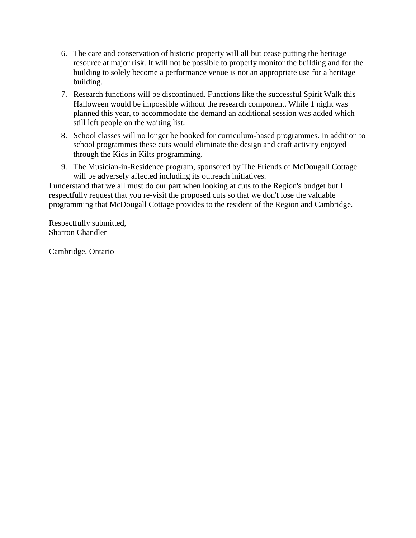- 6. The care and conservation of historic property will all but cease putting the heritage resource at major risk. It will not be possible to properly monitor the building and for the building to solely become a performance venue is not an appropriate use for a heritage building.
- 7. Research functions will be discontinued. Functions like the successful Spirit Walk this Halloween would be impossible without the research component. While 1 night was planned this year, to accommodate the demand an additional session was added which still left people on the waiting list.
- 8. School classes will no longer be booked for curriculum-based programmes. In addition to school programmes these cuts would eliminate the design and craft activity enjoyed through the Kids in Kilts programming.
- 9. The Musician-in-Residence program, sponsored by The Friends of McDougall Cottage will be adversely affected including its outreach initiatives.

I understand that we all must do our part when looking at cuts to the Region's budget but I respectfully request that you re-visit the proposed cuts so that we don't lose the valuable programming that McDougall Cottage provides to the resident of the Region and Cambridge.

Respectfully submitted, Sharron Chandler

Cambridge, Ontario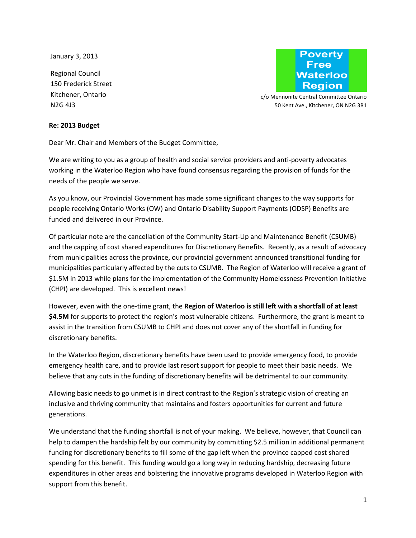<span id="page-4-0"></span>January 3, 2013

Regional Council 150 Frederick Street Kitchener, Ontario N2G 4J3



c/o Mennonite Central Committee Ontario 50 Kent Ave., Kitchener, ON N2G 3R1

#### **Re: 2013 Budget**

Dear Mr. Chair and Members of the Budget Committee,

We are writing to you as a group of health and social service providers and anti-poverty advocates working in the Waterloo Region who have found consensus regarding the provision of funds for the needs of the people we serve.

As you know, our Provincial Government has made some significant changes to the way supports for people receiving Ontario Works (OW) and Ontario Disability Support Payments (ODSP) Benefits are funded and delivered in our Province.

Of particular note are the cancellation of the Community Start-Up and Maintenance Benefit (CSUMB) and the capping of cost shared expenditures for Discretionary Benefits. Recently, as a result of advocacy from municipalities across the province, our provincial government announced transitional funding for municipalities particularly affected by the cuts to CSUMB. The Region of Waterloo will receive a grant of \$1.5M in 2013 while plans for the implementation of the Community Homelessness Prevention Initiative (CHPI) are developed. This is excellent news!

However, even with the one-time grant, the **Region of Waterloo is still left with a shortfall of at least \$4.5M** for supports to protect the region's most vulnerable citizens. Furthermore, the grant is meant to assist in the transition from CSUMB to CHPI and does not cover any of the shortfall in funding for discretionary benefits.

In the Waterloo Region, discretionary benefits have been used to provide emergency food, to provide emergency health care, and to provide last resort support for people to meet their basic needs. We believe that any cuts in the funding of discretionary benefits will be detrimental to our community.

Allowing basic needs to go unmet is in direct contrast to the Region's strategic vision of creating an inclusive and thriving community that maintains and fosters opportunities for current and future generations.

We understand that the funding shortfall is not of your making. We believe, however, that Council can help to dampen the hardship felt by our community by committing \$2.5 million in additional permanent funding for discretionary benefits to fill some of the gap left when the province capped cost shared spending for this benefit. This funding would go a long way in reducing hardship, decreasing future expenditures in other areas and bolstering the innovative programs developed in Waterloo Region with support from this benefit.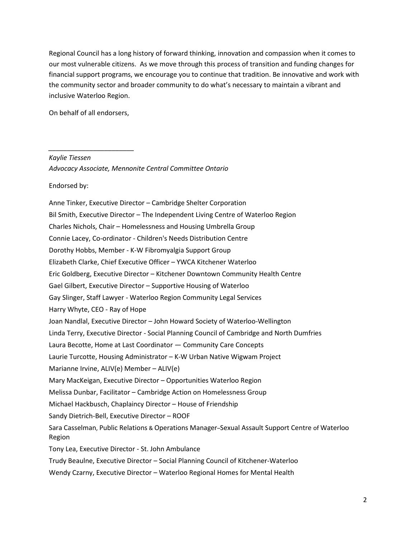Regional Council has a long history of forward thinking, innovation and compassion when it comes to our most vulnerable citizens. As we move through this process of transition and funding changes for financial support programs, we encourage you to continue that tradition. Be innovative and work with the community sector and broader community to do what's necessary to maintain a vibrant and inclusive Waterloo Region.

On behalf of all endorsers,

*\_\_\_\_\_\_\_\_\_\_\_\_\_\_\_\_\_\_\_\_\_\_\_* 

*Kaylie Tiessen* 

*Advocacy Associate, Mennonite Central Committee Ontario* 

Endorsed by:

Anne Tinker, Executive Director – Cambridge Shelter Corporation Bil Smith, Executive Director – The Independent Living Centre of Waterloo Region Charles Nichols, Chair – Homelessness and Housing Umbrella Group Connie Lacey, Co-ordinator - Children's Needs Distribution Centre Dorothy Hobbs, Member - K-W Fibromyalgia Support Group Elizabeth Clarke, Chief Executive Officer – YWCA Kitchener Waterloo Eric Goldberg, Executive Director – Kitchener Downtown Community Health Centre Gael Gilbert, Executive Director – Supportive Housing of Waterloo Gay Slinger, Staff Lawyer - Waterloo Region Community Legal Services Harry Whyte, CEO - Ray of Hope Joan Nandlal, Executive Director – John Howard Society of Waterloo-Wellington Linda Terry, Executive Director - Social Planning Council of Cambridge and North Dumfries Laura Becotte, Home at Last Coordinator — Community Care Concepts Laurie Turcotte, Housing Administrator – K-W Urban Native Wigwam Project Marianne Irvine, ALIV(e) Member – ALIV(e) Mary MacKeigan, Executive Director – Opportunities Waterloo Region Melissa Dunbar, Facilitator – Cambridge Action on Homelessness Group Michael Hackbusch, Chaplaincy Director – House of Friendship Sandy Dietrich-Bell, Executive Director – ROOF Sara Casselman, Public Relations & Operations Manager–Sexual Assault Support Centre of Waterloo Region Tony Lea, Executive Director - St. John Ambulance Trudy Beaulne, Executive Director – Social Planning Council of Kitchener-Waterloo Wendy Czarny, Executive Director – Waterloo Regional Homes for Mental Health